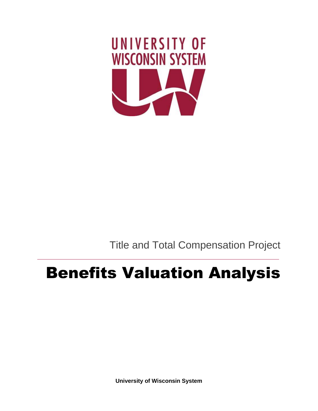

Title and Total Compensation Project

# Benefits Valuation Analysis

**University of Wisconsin System**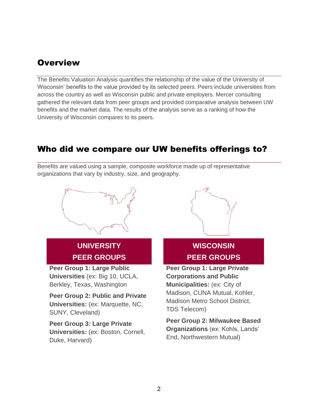# **Overview**

The Benefits Valuation Analysis quantifies the relationship of the value of the University of Wisconsin' benefits to the value provided by its selected peers. Peers include universities from across the country as well as Wisconsin public and private employers. Mercer consulting gathered the relevant data from peer groups and provided comparative analysis between UW benefits and the market data. The results of the analysis serve as a ranking of how the University of Wisconsin compares to its peers.

# Who did we compare our UW benefits offerings to?

Benefits are valued using a sample, composite workforce made up of representative organizations that vary by industry, size, and geography.



# **UNIVERSITY PEER GROUPS**

**Peer Group 1: Large Public Universities** (ex: Big 10, UCLA, Berkley, Texas, Washington

**Peer Group 2: Public and Private Universities:** (ex: Marquette, NC, SUNY, Cleveland)

**Peer Group 3: Large Private Universities:** (ex: Boston, Cornell, Duke, Harvard)



# **WISCONSIN PEER GROUPS**

**Peer Group 1: Large Private Corporations and Public Municipalities:** (ex: City of Madison, CUNA Mutual, Kohler, Madison Metro School District, TDS Telecom)

**Peer Group 2: Milwaukee Based Organizations** (ex: Kohls, Lands' End, Northwestern Mutual)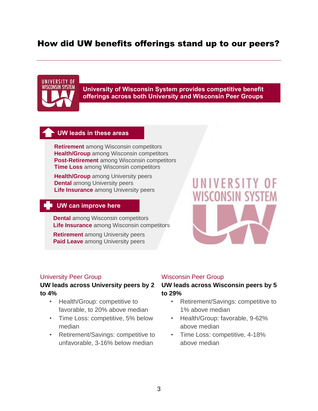# How did UW benefits offerings stand up to our peers?

# UNIVERSITY OF WISCONSIN SYSTEM

**University of Wisconsin System provides competitive benefit offerings across both University and Wisconsin Peer Groups**

#### **UW leads in these areas**

**Retirement** among Wisconsin competitors **Health/Group** among Wisconsin competitors **Post-Retirement** among Wisconsin competitors **Time Loss** among Wisconsin competitors

**Health/Group** among University peers **Dental** among University peers **Life Insurance** among University peers

## **UW can improve here**

**Dental** among Wisconsin competitors **Life Insurance** among Wisconsin competitors

**Retirement** among University peers **Paid Leave** among University peers

# VERSITY

#### University Peer Group

#### **UW leads across University peers by 2 to 4%**

- Health/Group: competitive to favorable, to 20% above median
- Time Loss: competitive, 5% below median
- Retirement/Savings: competitive to unfavorable, 3-16% below median

#### Wisconsin Peer Group

#### **UW leads across Wisconsin peers by 5 to 29%**

- Retirement/Savings: competitive to 1% above median
- Health/Group: favorable, 9-62% above median
- Time Loss: competitive, 4-18% above median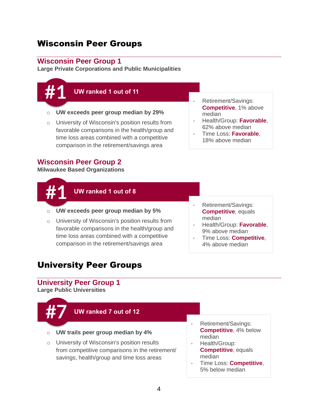# Wisconsin Peer Groups

#### **Wisconsin Peer Group 1**

**Large Private Corporations and Public Municipalities**



- o University of Wisconsin's position results from favorable comparisons in the health/group and time loss areas combined with a competitive comparison in the retirement/savings area
- Retirement/Savings: **Competitive**, 1% above median
- Health/Group: **Favorable**, 62% above median
- Time Loss: **Favorable**, 18% above median

#### **Wisconsin Peer Group 2**

**Milwaukee Based Organizations** 



#### **UW ranked 1 out of 8**

- o **UW exceeds peer group median by 5%**
- o University of Wisconsin's position results from favorable comparisons in the health/group and time loss areas combined with a competitive comparison in the retirement/savings area
- Retirement/Savings: **Competitive**, equals median
- Health/Group: **Favorable**, 9% above median
- Time Loss: **Competitive**, 4% above median

# University Peer Groups

#### **University Peer Group 1**

**Large Public Universities**



- Time Loss: **Competitive**, 5% below median